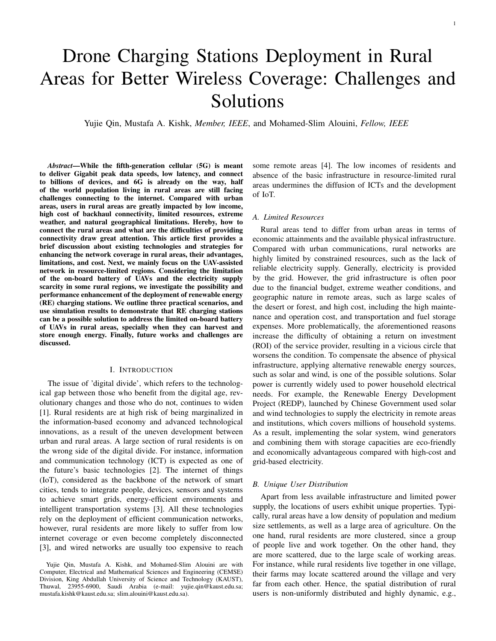# Drone Charging Stations Deployment in Rural Areas for Better Wireless Coverage: Challenges and Solutions

Yujie Qin, Mustafa A. Kishk, *Member, IEEE*, and Mohamed-Slim Alouini, *Fellow, IEEE*

*Abstract*—While the fifth-generation cellular (5G) is meant to deliver Gigabit peak data speeds, low latency, and connect to billions of devices, and 6G is already on the way, half of the world population living in rural areas are still facing challenges connecting to the internet. Compared with urban areas, users in rural areas are greatly impacted by low income, high cost of backhaul connectivity, limited resources, extreme weather, and natural geographical limitations. Hereby, how to connect the rural areas and what are the difficulties of providing connectivity draw great attention. This article first provides a brief discussion about existing technologies and strategies for enhancing the network coverage in rural areas, their advantages, limitations, and cost. Next, we mainly focus on the UAV-assisted network in resource-limited regions. Considering the limitation of the on-board battery of UAVs and the electricity supply scarcity in some rural regions, we investigate the possibility and performance enhancement of the deployment of renewable energy (RE) charging stations. We outline three practical scenarios, and use simulation results to demonstrate that RE charging stations can be a possible solution to address the limited on-board battery of UAVs in rural areas, specially when they can harvest and store enough energy. Finally, future works and challenges are discussed.

# I. INTRODUCTION

The issue of 'digital divide', which refers to the technological gap between those who benefit from the digital age, revolutionary changes and those who do not, continues to widen [1]. Rural residents are at high risk of being marginalized in the information-based economy and advanced technological innovations, as a result of the uneven development between urban and rural areas. A large section of rural residents is on the wrong side of the digital divide. For instance, information and communication technology (ICT) is expected as one of the future's basic technologies [2]. The internet of things (IoT), considered as the backbone of the network of smart cities, tends to integrate people, devices, sensors and systems to achieve smart grids, energy-efficient environments and intelligent transportation systems [3]. All these technologies rely on the deployment of efficient communication networks, however, rural residents are more likely to suffer from low internet coverage or even become completely disconnected [3], and wired networks are usually too expensive to reach some remote areas [4]. The low incomes of residents and absence of the basic infrastructure in resource-limited rural areas undermines the diffusion of ICTs and the development of IoT.

#### *A. Limited Resources*

Rural areas tend to differ from urban areas in terms of economic attainments and the available physical infrastructure. Compared with urban communications, rural networks are highly limited by constrained resources, such as the lack of reliable electricity supply. Generally, electricity is provided by the grid. However, the grid infrastructure is often poor due to the financial budget, extreme weather conditions, and geographic nature in remote areas, such as large scales of the desert or forest, and high cost, including the high maintenance and operation cost, and transportation and fuel storage expenses. More problematically, the aforementioned reasons increase the difficulty of obtaining a return on investment (ROI) of the service provider, resulting in a vicious circle that worsens the condition. To compensate the absence of physical infrastructure, applying alternative renewable energy sources, such as solar and wind, is one of the possible solutions. Solar power is currently widely used to power household electrical needs. For example, the Renewable Energy Development Project (REDP), launched by Chinese Government used solar and wind technologies to supply the electricity in remote areas and institutions, which covers millions of household systems. As a result, implementing the solar system, wind generators and combining them with storage capacities are eco-friendly and economically advantageous compared with high-cost and grid-based electricity.

#### *B. Unique User Distribution*

Apart from less available infrastructure and limited power supply, the locations of users exhibit unique properties. Typically, rural areas have a low density of population and medium size settlements, as well as a large area of agriculture. On the one hand, rural residents are more clustered, since a group of people live and work together. On the other hand, they are more scattered, due to the large scale of working areas. For instance, while rural residents live together in one village, their farms may locate scattered around the village and very far from each other. Hence, the spatial distribution of rural users is non-uniformly distributed and highly dynamic, e.g.,

Yujie Qin, Mustafa A. Kishk, and Mohamed-Slim Alouini are with Computer, Electrical and Mathematical Sciences and Engineering (CEMSE) Division, King Abdullah University of Science and Technology (KAUST), Thuwal, 23955-6900, Saudi Arabia (e-mail: yujie.qin@kaust.edu.sa; mustafa.kishk@kaust.edu.sa; slim.alouini@kaust.edu.sa).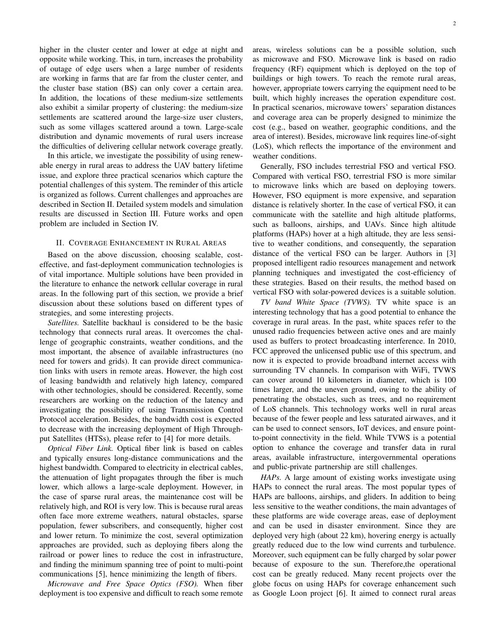higher in the cluster center and lower at edge at night and opposite while working. This, in turn, increases the probability of outage of edge users when a large number of residents are working in farms that are far from the cluster center, and the cluster base station (BS) can only cover a certain area. In addition, the locations of these medium-size settlements also exhibit a similar property of clustering: the medium-size settlements are scattered around the large-size user clusters, such as some villages scattered around a town. Large-scale distribution and dynamic movements of rural users increase the difficulties of delivering cellular network coverage greatly.

In this article, we investigate the possibility of using renewable energy in rural areas to address the UAV battery lifetime issue, and explore three practical scenarios which capture the potential challenges of this system. The reminder of this article is organized as follows. Current challenges and approaches are described in Section II. Detailed system models and simulation results are discussed in Section III. Future works and open problem are included in Section IV.

#### II. COVERAGE ENHANCEMENT IN RURAL AREAS

Based on the above discussion, choosing scalable, costeffective, and fast-deployment communication technologies is of vital importance. Multiple solutions have been provided in the literature to enhance the network cellular coverage in rural areas. In the following part of this section, we provide a brief discussion about these solutions based on different types of strategies, and some interesting projects.

*Satellites.* Satellite backhaul is considered to be the basic technology that connects rural areas. It overcomes the challenge of geographic constraints, weather conditions, and the most important, the absence of available infrastructures (no need for towers and grids). It can provide direct communication links with users in remote areas. However, the high cost of leasing bandwidth and relatively high latency, compared with other technologies, should be considered. Recently, some researchers are working on the reduction of the latency and investigating the possibility of using Transmission Control Protocol acceleration. Besides, the bandwidth cost is expected to decrease with the increasing deployment of High Throughput Satellites (HTSs), please refer to [4] for more details.

*Optical Fiber Link.* Optical fiber link is based on cables and typically ensures long-distance communications and the highest bandwidth. Compared to electricity in electrical cables, the attenuation of light propagates through the fiber is much lower, which allows a large-scale deployment. However, in the case of sparse rural areas, the maintenance cost will be relatively high, and ROI is very low. This is because rural areas often face more extreme weathers, natural obstacles, sparse population, fewer subscribers, and consequently, higher cost and lower return. To minimize the cost, several optimization approaches are provided, such as deploying fibers along the railroad or power lines to reduce the cost in infrastructure, and finding the minimum spanning tree of point to multi-point communications [5], hence minimizing the length of fibers.

*Microwave and Free Space Optics (FSO).* When fiber deployment is too expensive and difficult to reach some remote areas, wireless solutions can be a possible solution, such as microwave and FSO. Microwave link is based on radio frequency (RF) equipment which is deployed on the top of buildings or high towers. To reach the remote rural areas, however, appropriate towers carrying the equipment need to be built, which highly increases the operation expenditure cost. In practical scenarios, microwave towers' separation distances and coverage area can be properly designed to minimize the cost (e.g., based on weather, geographic conditions, and the area of interest). Besides, microwave link requires line-of-sight (LoS), which reflects the importance of the environment and weather conditions.

Generally, FSO includes terrestrial FSO and vertical FSO. Compared with vertical FSO, terrestrial FSO is more similar to microwave links which are based on deploying towers. However, FSO equipment is more expensive, and separation distance is relatively shorter. In the case of vertical FSO, it can communicate with the satellite and high altitude platforms, such as balloons, airships, and UAVs. Since high altitude platforms (HAPs) hover at a high altitude, they are less sensitive to weather conditions, and consequently, the separation distance of the vertical FSO can be larger. Authors in [3] proposed intelligent radio resources management and network planning techniques and investigated the cost-efficiency of these strategies. Based on their results, the method based on vertical FSO with solar-powered devices is a suitable solution.

*TV band White Space (TVWS).* TV white space is an interesting technology that has a good potential to enhance the coverage in rural areas. In the past, white spaces refer to the unused radio frequencies between active ones and are mainly used as buffers to protect broadcasting interference. In 2010, FCC approved the unlicensed public use of this spectrum, and now it is expected to provide broadband internet access with surrounding TV channels. In comparison with WiFi, TVWS can cover around 10 kilometers in diameter, which is 100 times larger, and the uneven ground, owing to the ability of penetrating the obstacles, such as trees, and no requirement of LoS channels. This technology works well in rural areas because of the fewer people and less saturated airwaves, and it can be used to connect sensors, IoT devices, and ensure pointto-point connectivity in the field. While TVWS is a potential option to enhance the coverage and transfer data in rural areas, available infrastructure, intergovernmental operations and public-private partnership are still challenges.

*HAPs.* A large amount of existing works investigate using HAPs to connect the rural areas. The most popular types of HAPs are balloons, airships, and gliders. In addition to being less sensitive to the weather conditions, the main advantages of these platforms are wide coverage areas, ease of deployment and can be used in disaster environment. Since they are deployed very high (about 22 km), hovering energy is actually greatly reduced due to the low wind currents and turbulence. Moreover, such equipment can be fully charged by solar power because of exposure to the sun. Therefore,the operational cost can be greatly reduced. Many recent projects over the globe focus on using HAPs for coverage enhancement such as Google Loon project [6]. It aimed to connect rural areas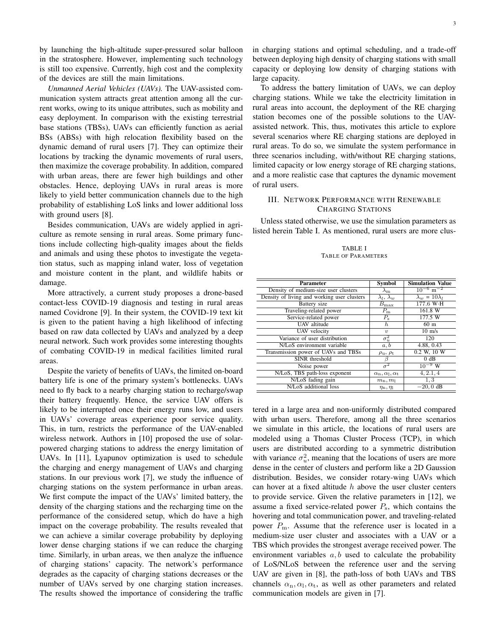by launching the high-altitude super-pressured solar balloon in the stratosphere. However, implementing such technology is still too expensive. Currently, high cost and the complexity of the devices are still the main limitations.

*Unmanned Aerial Vehicles (UAVs).* The UAV-assisted communication system attracts great attention among all the current works, owing to its unique attributes, such as mobility and easy deployment. In comparison with the existing terrestrial base stations (TBSs), UAVs can efficiently function as aerial BSs (ABSs) with high relocation flexibility based on the dynamic demand of rural users [7]. They can optimize their locations by tracking the dynamic movements of rural users, then maximize the coverage probability. In addition, compared with urban areas, there are fewer high buildings and other obstacles. Hence, deploying UAVs in rural areas is more likely to yield better communication channels due to the high probability of establishing LoS links and lower additional loss with ground users [8].

Besides communication, UAVs are widely applied in agriculture as remote sensing in rural areas. Some primary functions include collecting high-quality images about the fields and animals and using these photos to investigate the vegetation status, such as mapping inland water, loss of vegetation and moisture content in the plant, and wildlife habits or damage.

More attractively, a current study proposes a drone-based contact-less COVID-19 diagnosis and testing in rural areas named Covidrone [9]. In their system, the COVID-19 text kit is given to the patient having a high likelihood of infecting based on raw data collected by UAVs and analyzed by a deep neural network. Such work provides some interesting thoughts of combating COVID-19 in medical facilities limited rural areas.

Despite the variety of benefits of UAVs, the limited on-board battery life is one of the primary system's bottlenecks. UAVs need to fly back to a nearby charging station to recharge/swap their battery frequently. Hence, the service UAV offers is likely to be interrupted once their energy runs low, and users in UAVs' coverage areas experience poor service quality. This, in turn, restricts the performance of the UAV-enabled wireless network. Authors in [10] proposed the use of solarpowered charging stations to address the energy limitation of UAVs. In [11], Lyapunov optimization is used to schedule the charging and energy management of UAVs and charging stations. In our previous work [7], we study the influence of charging stations on the system performance in urban areas. We first compute the impact of the UAVs' limited battery, the density of the charging stations and the recharging time on the performance of the considered setup, which do have a high impact on the coverage probability. The results revealed that we can achieve a similar coverage probability by deploying lower dense charging stations if we can reduce the charging time. Similarly, in urban areas, we then analyze the influence of charging stations' capacity. The network's performance degrades as the capacity of charging stations decreases or the number of UAVs served by one charging station increases. The results showed the importance of considering the traffic in charging stations and optimal scheduling, and a trade-off between deploying high density of charging stations with small capacity or deploying low density of charging stations with large capacity.

To address the battery limitation of UAVs, we can deploy charging stations. While we take the electricity limitation in rural areas into account, the deployment of the RE charging station becomes one of the possible solutions to the UAVassisted network. This, thus, motivates this article to explore several scenarios where RE charging stations are deployed in rural areas. To do so, we simulate the system performance in three scenarios including, with/without RE charging stations, limited capacity or low energy storage of RE charging stations, and a more realistic case that captures the dynamic movement of rural users.

# III. NETWORK PERFORMANCE WITH RENEWABLE CHARGING STATIONS

Unless stated otherwise, we use the simulation parameters as listed herein Table I. As mentioned, rural users are more clus-

TABLE I TABLE OF PARAMETERS

| Parameter                                   | <b>Symbol</b>                        | <b>Simulation Value</b>   |
|---------------------------------------------|--------------------------------------|---------------------------|
| Density of medium-size user clusters        | $\lambda_{\rm m}$                    | $\frac{10^{-6}}{m^{-2}}$  |
| Density of living and working user clusters | $\lambda_l, \lambda_w$               | $\lambda_w = 10\lambda_l$ |
| Battery size                                | $B_{\rm max}$                        | 177.6 W·H                 |
| Traveling-related power                     | $P_{\rm m}$                          | 161.8 W                   |
| Service-related power                       | $P_{\rm s}$                          | 177.5 W                   |
| <b>UAV</b> altitude                         | h                                    | 60 <sub>m</sub>           |
| UAV velocity                                | $\boldsymbol{\eta}$                  | $10 \text{ m/s}$          |
| Variance of user distribution               | $\sigma_u^2$                         | 120                       |
| N/LoS environment variable                  | a, b                                 | 4.88, 0.43                |
| Transmission power of UAVs and TBSs         | $\rho_{\rm u}, \rho_{\rm t}$         | 0.2 W, 10 W               |
| SINR threshold                              | 13                                   | 0 dB                      |
| Noise power                                 | $\sigma^2$                           | $10^{-9}$ W               |
| N/LoS, TBS path-loss exponent               | $\alpha_{n}, \alpha_{l}, \alpha_{t}$ | 4, 2.1, 4                 |
| N/LoS fading gain                           | $m_n, m_1$                           | 1,3                       |
| N/LoS additional loss                       | $\eta_{\rm n},\eta_{\rm l}$          | $-20,0$ dB                |

tered in a large area and non-uniformly distributed compared with urban users. Therefore, among all the three scenarios we simulate in this article, the locations of rural users are modeled using a Thomas Cluster Process (TCP), in which users are distributed according to a symmetric distribution with variance  $\sigma_u^2$ , meaning that the locations of users are more dense in the center of clusters and perform like a 2D Gaussion distribution. Besides, we consider rotary-wing UAVs which can hover at a fixed altitude  $h$  above the user cluster centers to provide service. Given the relative parameters in [12], we assume a fixed service-related power  $P_s$ , which contains the hovering and total communication power, and traveling-related power  $P<sub>m</sub>$ . Assume that the reference user is located in a medium-size user cluster and associates with a UAV or a TBS which provides the strongest average received power. The environment variables  $a, b$  used to calculate the probability of LoS/NLoS between the reference user and the serving UAV are given in [8], the path-loss of both UAVs and TBS channels  $\alpha_n, \alpha_l, \alpha_t$ , as well as other parameters and related communication models are given in [7].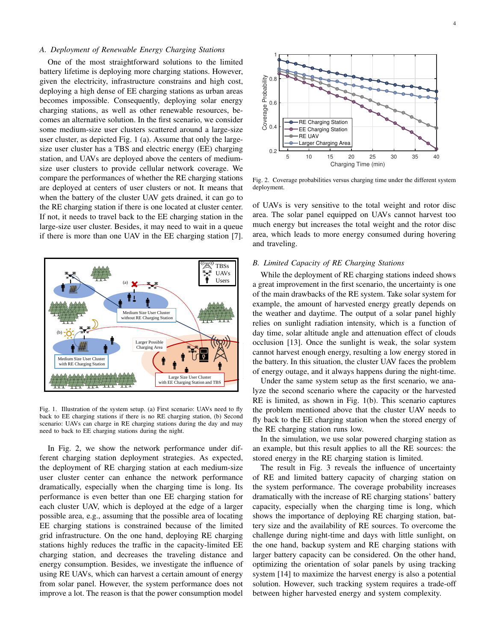# *A. Deployment of Renewable Energy Charging Stations*

One of the most straightforward solutions to the limited battery lifetime is deploying more charging stations. However, given the electricity, infrastructure constrains and high cost, deploying a high dense of EE charging stations as urban areas becomes impossible. Consequently, deploying solar energy charging stations, as well as other renewable resources, becomes an alternative solution. In the first scenario, we consider some medium-size user clusters scattered around a large-size user cluster, as depicted Fig. 1 (a). Assume that only the largesize user cluster has a TBS and electric energy (EE) charging station, and UAVs are deployed above the centers of mediumsize user clusters to provide cellular network coverage. We compare the performances of whether the RE charging stations are deployed at centers of user clusters or not. It means that when the battery of the cluster UAV gets drained, it can go to the RE charging station if there is one located at cluster center. If not, it needs to travel back to the EE charging station in the large-size user cluster. Besides, it may need to wait in a queue if there is more than one UAV in the EE charging station [7].



Fig. 1. Illustration of the system setup. (a) First scenario: UAVs need to fly back to EE charging stations if there is no RE charging station, (b) Second scenario: UAVs can charge in RE charging stations during the day and may need to back to EE charging stations during the night.

In Fig. 2, we show the network performance under different charging station deployment strategies. As expected, the deployment of RE charging station at each medium-size user cluster center can enhance the network performance dramatically, especially when the charging time is long. Its performance is even better than one EE charging station for each cluster UAV, which is deployed at the edge of a larger possible area, e.g., assuming that the possible area of locating EE charging stations is constrained because of the limited grid infrastructure. On the one hand, deploying RE charging stations highly reduces the traffic in the capacity-limited EE charging station, and decreases the traveling distance and energy consumption. Besides, we investigate the influence of using RE UAVs, which can harvest a certain amount of energy from solar panel. However, the system performance does not improve a lot. The reason is that the power consumption model



Fig. 2. Coverage probabilities versus charging time under the different system deployment.

of UAVs is very sensitive to the total weight and rotor disc area. The solar panel equipped on UAVs cannot harvest too much energy but increases the total weight and the rotor disc area, which leads to more energy consumed during hovering and traveling.

## *B. Limited Capacity of RE Charging Stations*

While the deployment of RE charging stations indeed shows a great improvement in the first scenario, the uncertainty is one of the main drawbacks of the RE system. Take solar system for example, the amount of harvested energy greatly depends on the weather and daytime. The output of a solar panel highly relies on sunlight radiation intensity, which is a function of day time, solar altitude angle and attenuation effect of clouds occlusion [13]. Once the sunlight is weak, the solar system cannot harvest enough energy, resulting a low energy stored in the battery. In this situation, the cluster UAV faces the problem of energy outage, and it always happens during the night-time.

Under the same system setup as the first scenario, we analyze the second scenario where the capacity or the harvested RE is limited, as shown in Fig. 1(b). This scenario captures the problem mentioned above that the cluster UAV needs to fly back to the EE charging station when the stored energy of the RE charging station runs low.

In the simulation, we use solar powered charging station as an example, but this result applies to all the RE sources: the stored energy in the RE charging station is limited.

The result in Fig. 3 reveals the influence of uncertainty of RE and limited battery capacity of charging station on the system performance. The coverage probability increases dramatically with the increase of RE charging stations' battery capacity, especially when the charging time is long, which shows the importance of deploying RE charging station, battery size and the availability of RE sources. To overcome the challenge during night-time and days with little sunlight, on the one hand, backup system and RE charging stations with larger battery capacity can be considered. On the other hand, optimizing the orientation of solar panels by using tracking system [14] to maximize the harvest energy is also a potential solution. However, such tracking system requires a trade-off between higher harvested energy and system complexity.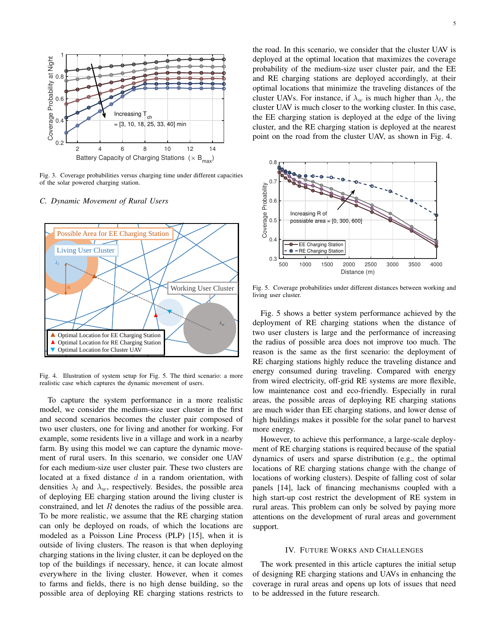

Fig. 3. Coverage probabilities versus charging time under different capacities of the solar powered charging station.

### *C. Dynamic Movement of Rural Users*



Fig. 4. Illustration of system setup for Fig. 5. The third scenario: a more realistic case which captures the dynamic movement of users.

To capture the system performance in a more realistic model, we consider the medium-size user cluster in the first and second scenarios becomes the cluster pair composed of two user clusters, one for living and another for working. For example, some residents live in a village and work in a nearby farm. By using this model we can capture the dynamic movement of rural users. In this scenario, we consider one UAV for each medium-size user cluster pair. These two clusters are located at a fixed distance  $d$  in a random orientation, with densities  $\lambda_l$  and  $\lambda_w$ , respectively. Besides, the possible area of deploying EE charging station around the living cluster is constrained, and let  $R$  denotes the radius of the possible area. To be more realistic, we assume that the RE charging station can only be deployed on roads, of which the locations are modeled as a Poisson Line Process (PLP) [15], when it is outside of living clusters. The reason is that when deploying charging stations in the living cluster, it can be deployed on the top of the buildings if necessary, hence, it can locate almost everywhere in the living cluster. However, when it comes to farms and fields, there is no high dense building, so the possible area of deploying RE charging stations restricts to

the road. In this scenario, we consider that the cluster UAV is deployed at the optimal location that maximizes the coverage probability of the medium-size user cluster pair, and the EE and RE charging stations are deployed accordingly, at their optimal locations that minimize the traveling distances of the cluster UAVs. For instance, if  $\lambda_w$  is much higher than  $\lambda_l$ , the cluster UAV is much closer to the working cluster. In this case, the EE charging station is deployed at the edge of the living cluster, and the RE charging station is deployed at the nearest point on the road from the cluster UAV, as shown in Fig. 4.



Fig. 5. Coverage probabilities under different distances between working and living user cluster.

Fig. 5 shows a better system performance achieved by the deployment of RE charging stations when the distance of two user clusters is large and the performance of increasing the radius of possible area does not improve too much. The reason is the same as the first scenario: the deployment of RE charging stations highly reduce the traveling distance and energy consumed during traveling. Compared with energy from wired electricity, off-grid RE systems are more flexible, low maintenance cost and eco-friendly. Especially in rural areas, the possible areas of deploying RE charging stations are much wider than EE charging stations, and lower dense of high buildings makes it possible for the solar panel to harvest more energy.

However, to achieve this performance, a large-scale deployment of RE charging stations is required because of the spatial dynamics of users and sparse distribution (e.g., the optimal locations of RE charging stations change with the change of locations of working clusters). Despite of falling cost of solar panels [14], lack of financing mechanisms coupled with a high start-up cost restrict the development of RE system in rural areas. This problem can only be solved by paying more attentions on the development of rural areas and government support.

#### IV. FUTURE WORKS AND CHALLENGES

The work presented in this article captures the initial setup of designing RE charging stations and UAVs in enhancing the coverage in rural areas and opens up lots of issues that need to be addressed in the future research.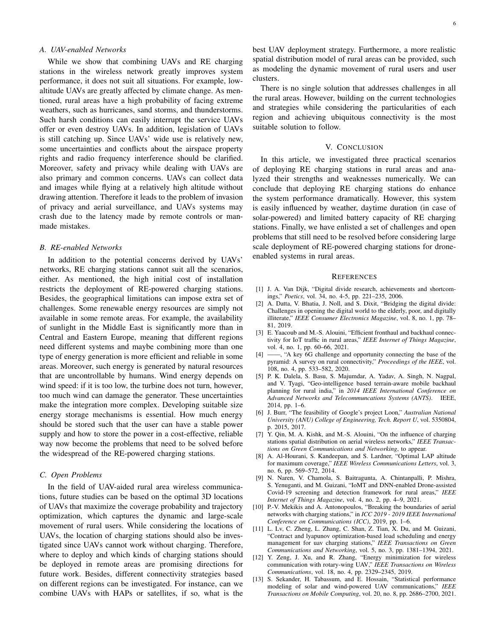# *A. UAV-enabled Networks*

While we show that combining UAVs and RE charging stations in the wireless network greatly improves system performance, it does not suit all situations. For example, lowaltitude UAVs are greatly affected by climate change. As mentioned, rural areas have a high probability of facing extreme weathers, such as hurricanes, sand storms, and thunderstorms. Such harsh conditions can easily interrupt the service UAVs offer or even destroy UAVs. In addition, legislation of UAVs is still catching up. Since UAVs' wide use is relatively new, some uncertainties and conflicts about the airspace property rights and radio frequency interference should be clarified. Moreover, safety and privacy while dealing with UAVs are also primary and common concerns. UAVs can collect data and images while flying at a relatively high altitude without drawing attention. Therefore it leads to the problem of invasion of privacy and aerial surveillance, and UAVs systems may crash due to the latency made by remote controls or manmade mistakes.

#### *B. RE-enabled Networks*

In addition to the potential concerns derived by UAVs' networks, RE charging stations cannot suit all the scenarios, either. As mentioned, the high initial cost of installation restricts the deployment of RE-powered charging stations. Besides, the geographical limitations can impose extra set of challenges. Some renewable energy resources are simply not available in some remote areas. For example, the availability of sunlight in the Middle East is significantly more than in Central and Eastern Europe, meaning that different regions need different systems and maybe combining more than one type of energy generation is more efficient and reliable in some areas. Moreover, such energy is generated by natural resources that are uncontrollable by humans. Wind energy depends on wind speed: if it is too low, the turbine does not turn, however, too much wind can damage the generator. These uncertainties make the integration more complex. Developing suitable size energy storage mechanisms is essential. How much energy should be stored such that the user can have a stable power supply and how to store the power in a cost-effective, reliable way now become the problems that need to be solved before the widespread of the RE-powered charging stations.

# *C. Open Problems*

In the field of UAV-aided rural area wireless communications, future studies can be based on the optimal 3D locations of UAVs that maximize the coverage probability and trajectory optimization, which captures the dynamic and large-scale movement of rural users. While considering the locations of UAVs, the location of charging stations should also be investigated since UAVs cannot work without charging. Therefore, where to deploy and which kinds of charging stations should be deployed in remote areas are promising directions for future work. Besides, different connectivity strategies based on different regions can be investigated. For instance, can we combine UAVs with HAPs or satellites, if so, what is the best UAV deployment strategy. Furthermore, a more realistic spatial distribution model of rural areas can be provided, such as modeling the dynamic movement of rural users and user clusters.

There is no single solution that addresses challenges in all the rural areas. However, building on the current technologies and strategies while considering the particularities of each region and achieving ubiquitous connectivity is the most suitable solution to follow.

#### V. CONCLUSION

In this article, we investigated three practical scenarios of deploying RE charging stations in rural areas and analyzed their strengths and weaknesses numerically. We can conclude that deploying RE charging stations do enhance the system performance dramatically. However, this system is easily influenced by weather, daytime duration (in case of solar-powered) and limited battery capacity of RE charging stations. Finally, we have enlisted a set of challenges and open problems that still need to be resolved before considering large scale deployment of RE-powered charging stations for droneenabled systems in rural areas.

#### **REFERENCES**

- [1] J. A. Van Dijk, "Digital divide research, achievements and shortcomings," *Poetics*, vol. 34, no. 4-5, pp. 221–235, 2006.
- [2] A. Datta, V. Bhatia, J. Noll, and S. Dixit, "Bridging the digital divide: Challenges in opening the digital world to the elderly, poor, and digitally illiterate," *IEEE Consumer Electronics Magazine*, vol. 8, no. 1, pp. 78– 81, 2019.
- [3] E. Yaacoub and M.-S. Alouini, "Efficient fronthaul and backhaul connectivity for IoT traffic in rural areas," *IEEE Internet of Things Magazine*, vol. 4, no. 1, pp. 60–66, 2021.
- [4] ——, "A key 6G challenge and opportunity connecting the base of the pyramid: A survey on rural connectivity," *Proceedings of the IEEE*, vol. 108, no. 4, pp. 533–582, 2020.
- [5] P. K. Dalela, S. Basu, S. Majumdar, A. Yadav, A. Singh, N. Nagpal, and V. Tyagi, "Geo-intelligence based terrain-aware mobile backhaul planning for rural india," in *2014 IEEE International Conference on Advanced Networks and Telecommuncations Systems (ANTS)*. IEEE, 2014, pp. 1–6.
- [6] J. Burr, "The feasibility of Google's project Loon," *Australian National University (ANU) College of Engineering, Tech. Report U*, vol. 5350804, p. 2015, 2017.
- [7] Y. Qin, M. A. Kishk, and M.-S. Alouini, "On the influence of charging stations spatial distribution on aerial wireless networks," *IEEE Transactions on Green Communications and Networking*, to appear.
- [8] A. Al-Hourani, S. Kandeepan, and S. Lardner, "Optimal LAP altitude for maximum coverage," *IEEE Wireless Communications Letters*, vol. 3, no. 6, pp. 569–572, 2014.
- [9] N. Naren, V. Chamola, S. Baitragunta, A. Chintanpalli, P. Mishra, S. Yenuganti, and M. Guizani, "IoMT and DNN-enabled Drone-assisted Covid-19 screening and detection framework for rural areas," *IEEE Internet of Things Magazine*, vol. 4, no. 2, pp. 4–9, 2021.
- [10] P.-V. Mekikis and A. Antonopoulos, "Breaking the boundaries of aerial networks with charging stations," in *ICC 2019 - 2019 IEEE International Conference on Communications (ICC)*, 2019, pp. 1–6.
- [11] L. Lv, C. Zheng, L. Zhang, C. Shan, Z. Tian, X. Du, and M. Guizani, "Contract and lyapunov optimization-based load scheduling and energy management for uav charging stations," *IEEE Transactions on Green Communications and Networking*, vol. 5, no. 3, pp. 1381–1394, 2021.
- [12] Y. Zeng, J. Xu, and R. Zhang, "Energy minimization for wireless communication with rotary-wing UAV," *IEEE Transactions on Wireless Communications*, vol. 18, no. 4, pp. 2329–2345, 2019.
- [13] S. Sekander, H. Tabassum, and E. Hossain, "Statistical performance modeling of solar and wind-powered UAV communications," *IEEE Transactions on Mobile Computing*, vol. 20, no. 8, pp. 2686–2700, 2021.